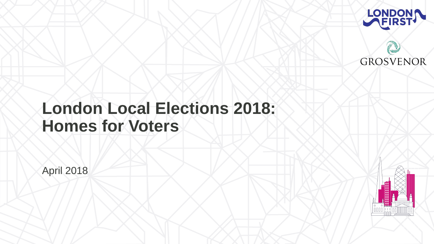# **London Local Elections 2018: Homes for Voters**

April 2018





#### **GROSVENOR**

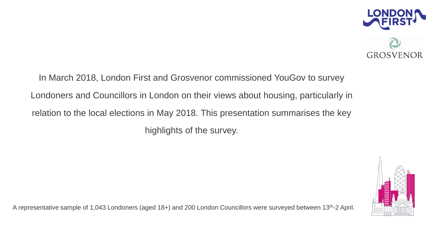In March 2018, London First and Grosvenor commissioned YouGov to survey Londoners and Councillors in London on their views about housing, particularly in relation to the local elections in May 2018. This presentation summarises the key highlights of the survey.

A representative sample of 1,043 Londoners (aged 18+) and 200 London Councillors were surveyed between 13<sup>th</sup>-2 April.





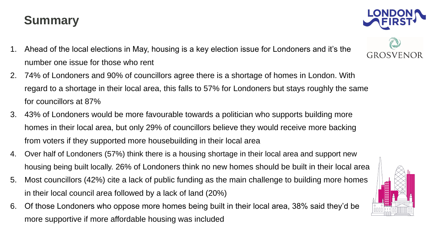### **Summary**

- 1. Ahead of the local elections in May, housing is a key election issue for Londoners and it's the number one issue for those who rent
- 2. 74% of Londoners and 90% of councillors agree there is a shortage of homes in London. With regard to a shortage in their local area, this falls to 57% for Londoners but stays roughly the same for councillors at 87%
- 3. 43% of Londoners would be more favourable towards a politician who supports building more homes in their local area, but only 29% of councillors believe they would receive more backing from voters if they supported more housebuilding in their local area
- 4. Over half of Londoners (57%) think there is a housing shortage in their local area and support new housing being built locally. 26% of Londoners think no new homes should be built in their local area 5. Most councillors (42%) cite a lack of public funding as the main challenge to building more homes
- in their local council area followed by a lack of land (20%)
- 6. Of those Londoners who oppose more homes being built in their local area, 38% said they'd be more supportive if more affordable housing was included







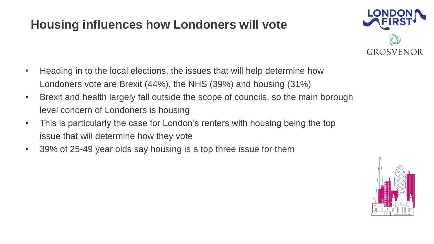### **Housing influences how Londoners will vote**

- Heading in to the local elections, the issues that will help determine how Londoners vote are Brexit (44%), the NHS (39%) and housing (31%) • Brexit and health largely fall outside the scope of councils, so the main borough
- level concern of Londoners is housing
- This is particularly the case for London's renters with housing being the top issue that will determine how they vote
- 39% of 25-49 year olds say housing is a top three issue for them



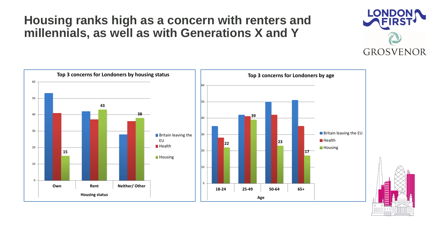#### **Housing ranks high as a concern with renters and millennials, as well as with Generations X and Y**



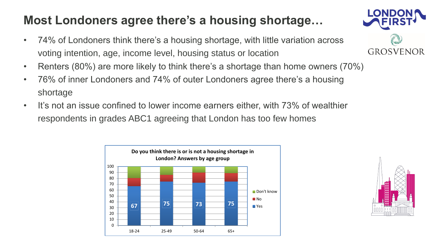### **Most Londoners agree there's a housing shortage…**

- 74% of Londoners think there's a housing shortage, with little variation across voting intention, age, income level, housing status or location
- Renters (80%) are more likely to think there's a shortage than home owners (70%)
- 76% of inner Londoners and 74% of outer Londoners agree there's a housing shortage
- It's not an issue confined to lower income earners either, with 73% of wealthier respondents in grades ABC1 agreeing that London has too few homes









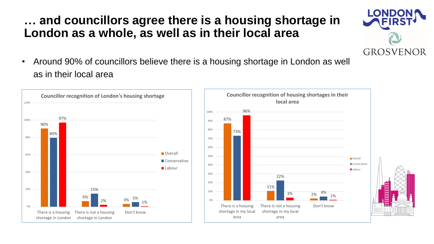#### **… and councillors agree there is a housing shortage in London as a whole, as well as in their local area**

• Around 90% of councillors believe there is a housing shortage in London as well as in their local area



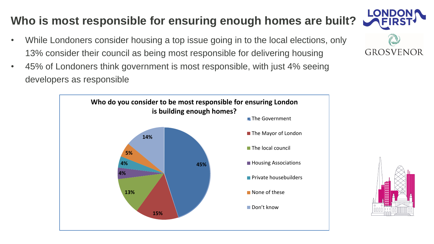### **Who is most responsible for ensuring enough homes are built?**

- While Londoners consider housing a top issue going in to the local elections, only 13% consider their council as being most responsible for delivering housing
- 45% of Londoners think government is most responsible, with just 4% seeing developers as responsible





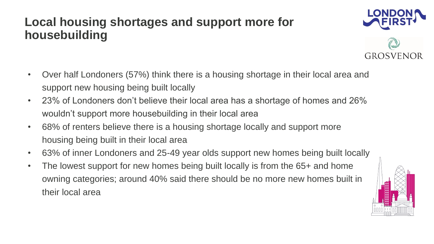### **Local housing shortages and support more for housebuilding**

- Over half Londoners (57%) think there is a housing shortage in their local area and support new housing being built locally
- 23% of Londoners don't believe their local area has a shortage of homes and 26% wouldn't support more housebuilding in their local area
- 68% of renters believe there is a housing shortage locally and support more housing being built in their local area
- 
- 63% of inner Londoners and 25-49 year olds support new homes being built locally • The lowest support for new homes being built locally is from the 65+ and home owning categories; around 40% said there should be no more new homes built in their local area





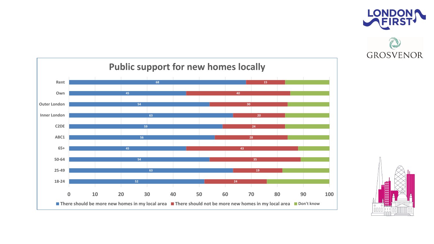





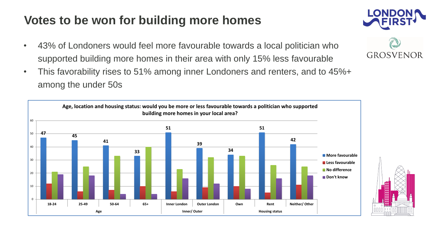### **Votes to be won for building more homes**

- 43% of Londoners would feel more favourable towards a local politician who supported building more homes in their area with only 15% less favourable
- This favorability rises to 51% among inner Londoners and renters, and to 45%+ among the under 50s





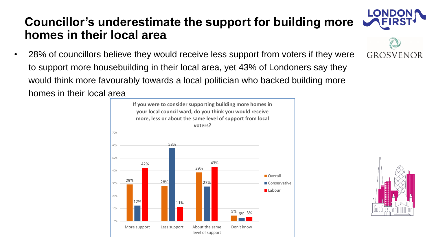• 28% of councillors believe they would receive less support from voters if they were to support more housebuilding in their local area, yet 43% of Londoners say they would think more favourably towards a local politician who backed building more homes in their local area

#### **Councillor's underestimate the support for building more homes in their local area**









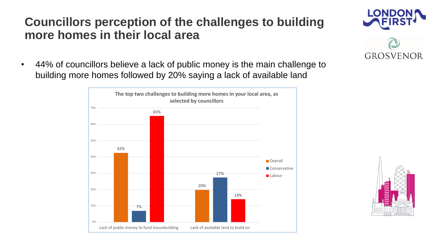#### **Councillors perception of the challenges to building more homes in their local area**

• 44% of councillors believe a lack of public money is the main challenge to building more homes followed by 20% saying a lack of available land





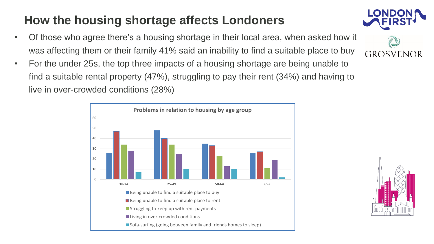## **How the housing shortage affects Londoners**

- Of those who agree there's a housing shortage in their local area, when asked how it was affecting them or their family 41% said an inability to find a suitable place to buy
- For the under 25s, the top three impacts of a housing shortage are being unable to find a suitable rental property (47%), struggling to pay their rent (34%) and having to live in over-crowded conditions (28%)









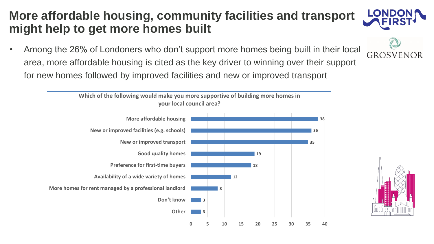#### **More affordable housing, community facilities and transport might help to get more homes built**

• Among the 26% of Londoners who don't support more homes being built in their local area, more affordable housing is cited as the key driver to winning over their support for new homes followed by improved facilities and new or improved transport